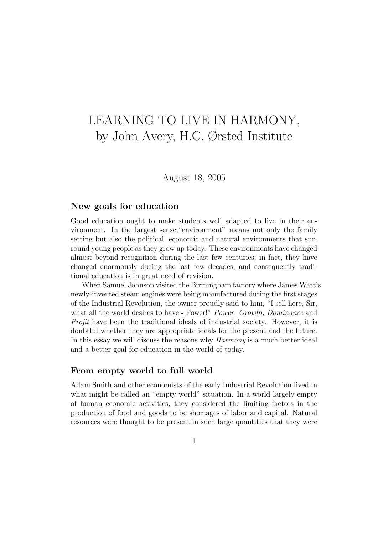# LEARNING TO LIVE IN HARMONY, by John Avery, H.C. Ørsted Institute

August 18, 2005

### New goals for education

Good education ought to make students well adapted to live in their environment. In the largest sense,"environment" means not only the family setting but also the political, economic and natural environments that surround young people as they grow up today. These environments have changed almost beyond recognition during the last few centuries; in fact, they have changed enormously during the last few decades, and consequently traditional education is in great need of revision.

When Samuel Johnson visited the Birmingham factory where James Watt's newly-invented steam engines were being manufactured during the first stages of the Industrial Revolution, the owner proudly said to him, "I sell here, Sir, what all the world desires to have - Power!" Power, Growth, Dominance and Profit have been the traditional ideals of industrial society. However, it is doubtful whether they are appropriate ideals for the present and the future. In this essay we will discuss the reasons why *Harmony* is a much better ideal and a better goal for education in the world of today.

### From empty world to full world

Adam Smith and other economists of the early Industrial Revolution lived in what might be called an "empty world" situation. In a world largely empty of human economic activities, they considered the limiting factors in the production of food and goods to be shortages of labor and capital. Natural resources were thought to be present in such large quantities that they were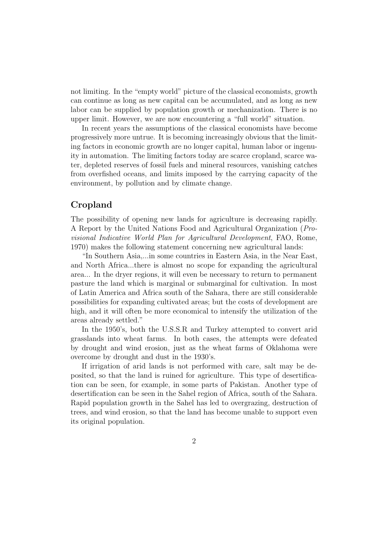not limiting. In the "empty world" picture of the classical economists, growth can continue as long as new capital can be accumulated, and as long as new labor can be supplied by population growth or mechanization. There is no upper limit. However, we are now encountering a "full world" situation.

In recent years the assumptions of the classical economists have become progressively more untrue. It is becoming increasingly obvious that the limiting factors in economic growth are no longer capital, human labor or ingenuity in automation. The limiting factors today are scarce cropland, scarce water, depleted reserves of fossil fuels and mineral resources, vanishing catches from overfished oceans, and limits imposed by the carrying capacity of the environment, by pollution and by climate change.

### Cropland

The possibility of opening new lands for agriculture is decreasing rapidly. A Report by the United Nations Food and Agricultural Organization (Provisional Indicative World Plan for Agricultural Development, FAO, Rome, 1970) makes the following statement concerning new agricultural lands:

"In Southern Asia,...in some countries in Eastern Asia, in the Near East, and North Africa...there is almost no scope for expanding the agricultural area... In the dryer regions, it will even be necessary to return to permanent pasture the land which is marginal or submarginal for cultivation. In most of Latin America and Africa south of the Sahara, there are still considerable possibilities for expanding cultivated areas; but the costs of development are high, and it will often be more economical to intensify the utilization of the areas already settled."

In the 1950's, both the U.S.S.R and Turkey attempted to convert arid grasslands into wheat farms. In both cases, the attempts were defeated by drought and wind erosion, just as the wheat farms of Oklahoma were overcome by drought and dust in the 1930's.

If irrigation of arid lands is not performed with care, salt may be deposited, so that the land is ruined for agriculture. This type of desertification can be seen, for example, in some parts of Pakistan. Another type of desertification can be seen in the Sahel region of Africa, south of the Sahara. Rapid population growth in the Sahel has led to overgrazing, destruction of trees, and wind erosion, so that the land has become unable to support even its original population.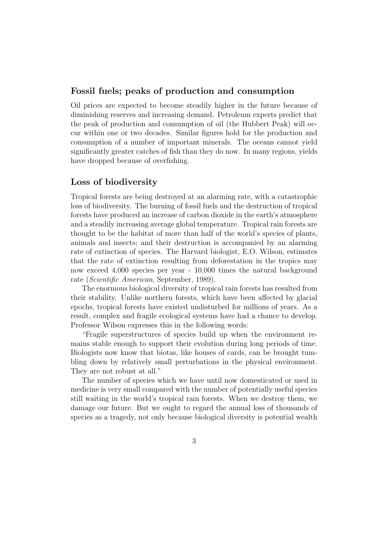### Fossil fuels; peaks of production and consumption

Oil prices are expected to become steadily higher in the future because of diminishing reserves and increasing demand. Petroleum experts predict that the peak of production and consumption of oil (the Hubbert Peak) will occur within one or two decades. Similar figures hold for the production and consumption of a number of important minerals. The oceans cannot yield significantly greater catches of fish than they do now. In many regions, yields have dropped because of overfishing.

### Loss of biodiversity

Tropical forests are being destroyed at an alarming rate, with a catastrophic loss of biodiversity. The burning of fossil fuels and the destruction of tropical forests have produced an increase of carbon dioxide in the earth's atmosphere and a steadily increasing average global temperature. Tropical rain forests are thought to be the habitat of more than half of the world's species of plants, animals and insects; and their destruction is accompanied by an alarming rate of extinction of species. The Harvard biologist, E.O. Wilson, estimates that the rate of extinction resulting from deforestation in the tropics may now exceed 4,000 species per year - 10,000 times the natural background rate (Scientific American, September, 1989).

The enormous biological diversity of tropical rain forests has resulted from their stability. Unlike northern forests, which have been affected by glacial epochs, tropical forests have existed undisturbed for millions of years. As a result, complex and fragile ecological systems have had a chance to develop. Professor Wilson expresses this in the following words:

"Fragile superstructures of species build up when the environment remains stable enough to support their evolution during long periods of time. Biologists now know that biotas, like houses of cards, can be brought tumbling down by relatively small perturbations in the physical environment. They are not robust at all."

The number of species which we have until now domesticated or used in medicine is very small compared with the number of potentially useful species still waiting in the world's tropical rain forests. When we destroy them, we damage our future. But we ought to regard the annual loss of thousands of species as a tragedy, not only because biological diversity is potential wealth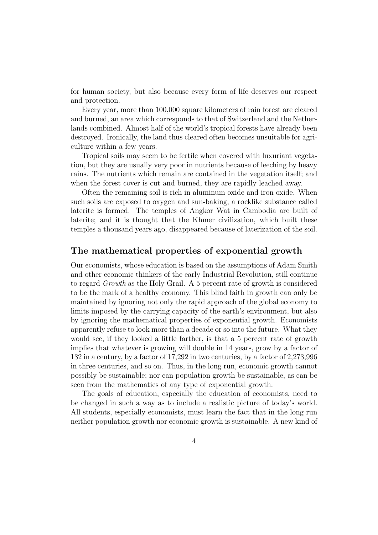for human society, but also because every form of life deserves our respect and protection.

Every year, more than 100,000 square kilometers of rain forest are cleared and burned, an area which corresponds to that of Switzerland and the Netherlands combined. Almost half of the world's tropical forests have already been destroyed. Ironically, the land thus cleared often becomes unsuitable for agriculture within a few years.

Tropical soils may seem to be fertile when covered with luxuriant vegetation, but they are usually very poor in nutrients because of leeching by heavy rains. The nutrients which remain are contained in the vegetation itself; and when the forest cover is cut and burned, they are rapidly leached away.

Often the remaining soil is rich in aluminum oxide and iron oxide. When such soils are exposed to oxygen and sun-baking, a rocklike substance called laterite is formed. The temples of Angkor Wat in Cambodia are built of laterite; and it is thought that the Khmer civilization, which built these temples a thousand years ago, disappeared because of laterization of the soil.

### The mathematical properties of exponential growth

Our economists, whose education is based on the assumptions of Adam Smith and other economic thinkers of the early Industrial Revolution, still continue to regard Growth as the Holy Grail. A 5 percent rate of growth is considered to be the mark of a healthy economy. This blind faith in growth can only be maintained by ignoring not only the rapid approach of the global economy to limits imposed by the carrying capacity of the earth's environment, but also by ignoring the mathematical properties of exponential growth. Economists apparently refuse to look more than a decade or so into the future. What they would see, if they looked a little farther, is that a 5 percent rate of growth implies that whatever is growing will double in 14 years, grow by a factor of 132 in a century, by a factor of 17,292 in two centuries, by a factor of 2,273,996 in three centuries, and so on. Thus, in the long run, economic growth cannot possibly be sustainable; nor can population growth be sustainable, as can be seen from the mathematics of any type of exponential growth.

The goals of education, especially the education of economists, need to be changed in such a way as to include a realistic picture of today's world. All students, especially economists, must learn the fact that in the long run neither population growth nor economic growth is sustainable. A new kind of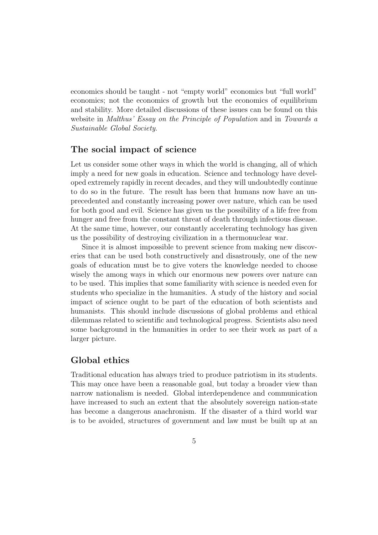economics should be taught - not "empty world" economics but "full world" economics; not the economics of growth but the economics of equilibrium and stability. More detailed discussions of these issues can be found on this website in Malthus' Essay on the Principle of Population and in Towards a Sustainable Global Society.

### The social impact of science

Let us consider some other ways in which the world is changing, all of which imply a need for new goals in education. Science and technology have developed extremely rapidly in recent decades, and they will undoubtedly continue to do so in the future. The result has been that humans now have an unprecedented and constantly increasing power over nature, which can be used for both good and evil. Science has given us the possibility of a life free from hunger and free from the constant threat of death through infectious disease. At the same time, however, our constantly accelerating technology has given us the possibility of destroying civilization in a thermonuclear war.

Since it is almost impossible to prevent science from making new discoveries that can be used both constructively and disastrously, one of the new goals of education must be to give voters the knowledge needed to choose wisely the among ways in which our enormous new powers over nature can to be used. This implies that some familiarity with science is needed even for students who specialize in the humanities. A study of the history and social impact of science ought to be part of the education of both scientists and humanists. This should include discussions of global problems and ethical dilemmas related to scientific and technological progress. Scientists also need some background in the humanities in order to see their work as part of a larger picture.

## Global ethics

Traditional education has always tried to produce patriotism in its students. This may once have been a reasonable goal, but today a broader view than narrow nationalism is needed. Global interdependence and communication have increased to such an extent that the absolutely sovereign nation-state has become a dangerous anachronism. If the disaster of a third world war is to be avoided, structures of government and law must be built up at an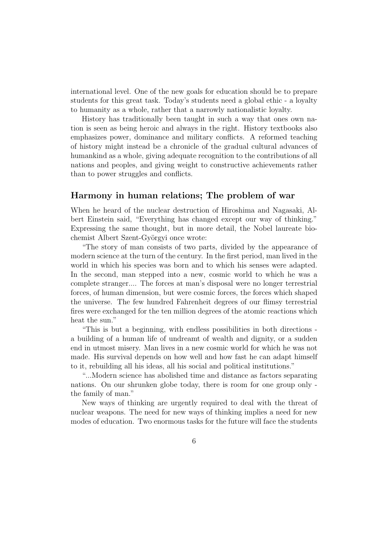international level. One of the new goals for education should be to prepare students for this great task. Today's students need a global ethic - a loyalty to humanity as a whole, rather that a narrowly nationalistic loyalty.

History has traditionally been taught in such a way that ones own nation is seen as being heroic and always in the right. History textbooks also emphasizes power, dominance and military conflicts. A reformed teaching of history might instead be a chronicle of the gradual cultural advances of humankind as a whole, giving adequate recognition to the contributions of all nations and peoples, and giving weight to constructive achievements rather than to power struggles and conflicts.

### Harmony in human relations; The problem of war

When he heard of the nuclear destruction of Hiroshima and Nagasaki, Albert Einstein said, "Everything has changed except our way of thinking." Expressing the same thought, but in more detail, the Nobel laureate biochemist Albert Szent-Györgyi once wrote:

"The story of man consists of two parts, divided by the appearance of modern science at the turn of the century. In the first period, man lived in the world in which his species was born and to which his senses were adapted. In the second, man stepped into a new, cosmic world to which he was a complete stranger.... The forces at man's disposal were no longer terrestrial forces, of human dimension, but were cosmic forces, the forces which shaped the universe. The few hundred Fahrenheit degrees of our flimsy terrestrial fires were exchanged for the ten million degrees of the atomic reactions which heat the sun."

"This is but a beginning, with endless possibilities in both directions a building of a human life of undreamt of wealth and dignity, or a sudden end in utmost misery. Man lives in a new cosmic world for which he was not made. His survival depends on how well and how fast he can adapt himself to it, rebuilding all his ideas, all his social and political institutions."

"...Modern science has abolished time and distance as factors separating nations. On our shrunken globe today, there is room for one group only the family of man."

New ways of thinking are urgently required to deal with the threat of nuclear weapons. The need for new ways of thinking implies a need for new modes of education. Two enormous tasks for the future will face the students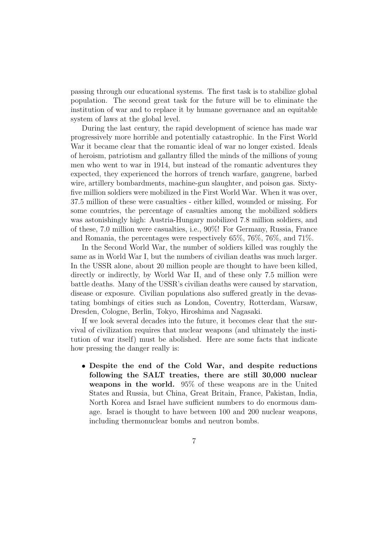passing through our educational systems. The first task is to stabilize global population. The second great task for the future will be to eliminate the institution of war and to replace it by humane governance and an equitable system of laws at the global level.

During the last century, the rapid development of science has made war progressively more horrible and potentially catastrophic. In the First World War it became clear that the romantic ideal of war no longer existed. Ideals of heroism, patriotism and gallantry filled the minds of the millions of young men who went to war in 1914, but instead of the romantic adventures they expected, they experienced the horrors of trench warfare, gangrene, barbed wire, artillery bombardments, machine-gun slaughter, and poison gas. Sixtyfive million soldiers were mobilized in the First World War. When it was over, 37.5 million of these were casualties - either killed, wounded or missing. For some countries, the percentage of casualties among the mobilized soldiers was astonishingly high: Austria-Hungary mobilized 7.8 million soldiers, and of these, 7.0 million were casualties, i.e., 90%! For Germany, Russia, France and Romania, the percentages were respectively 65%, 76%, 76%, and 71%.

In the Second World War, the number of soldiers killed was roughly the same as in World War I, but the numbers of civilian deaths was much larger. In the USSR alone, about 20 million people are thought to have been killed, directly or indirectly, by World War II, and of these only 7.5 million were battle deaths. Many of the USSR's civilian deaths were caused by starvation, disease or exposure. Civilian populations also suffered greatly in the devastating bombings of cities such as London, Coventry, Rotterdam, Warsaw, Dresden, Cologne, Berlin, Tokyo, Hiroshima and Nagasaki.

If we look several decades into the future, it becomes clear that the survival of civilization requires that nuclear weapons (and ultimately the institution of war itself) must be abolished. Here are some facts that indicate how pressing the danger really is:

• Despite the end of the Cold War, and despite reductions following the SALT treaties, there are still 30,000 nuclear weapons in the world. 95% of these weapons are in the United States and Russia, but China, Great Britain, France, Pakistan, India, North Korea and Israel have sufficient numbers to do enormous damage. Israel is thought to have between 100 and 200 nuclear weapons, including thermonuclear bombs and neutron bombs.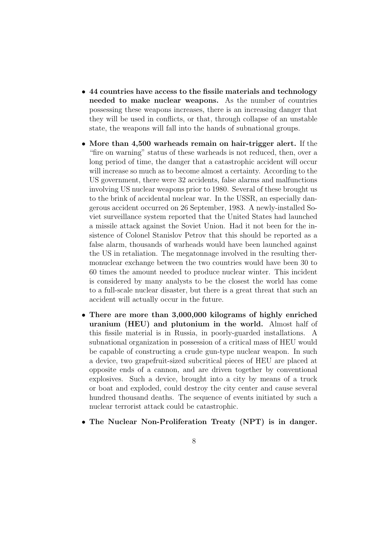- 44 countries have access to the fissile materials and technology needed to make nuclear weapons. As the number of countries possessing these weapons increases, there is an increasing danger that they will be used in conflicts, or that, through collapse of an unstable state, the weapons will fall into the hands of subnational groups.
- More than 4,500 warheads remain on hair-trigger alert. If the "fire on warning" status of these warheads is not reduced, then, over a long period of time, the danger that a catastrophic accident will occur will increase so much as to become almost a certainty. According to the US government, there were 32 accidents, false alarms and malfunctions involving US nuclear weapons prior to 1980. Several of these brought us to the brink of accidental nuclear war. In the USSR, an especially dangerous accident occurred on 26 September, 1983. A newly-installed Soviet surveillance system reported that the United States had launched a missile attack against the Soviet Union. Had it not been for the insistence of Colonel Stanislov Petrov that this should be reported as a false alarm, thousands of warheads would have been launched against the US in retaliation. The megatonnage involved in the resulting thermonuclear exchange between the two countries would have been 30 to 60 times the amount needed to produce nuclear winter. This incident is considered by many analysts to be the closest the world has come to a full-scale nuclear disaster, but there is a great threat that such an accident will actually occur in the future.
- There are more than 3,000,000 kilograms of highly enriched uranium (HEU) and plutonium in the world. Almost half of this fissile material is in Russia, in poorly-guarded installations. A subnational organization in possession of a critical mass of HEU would be capable of constructing a crude gun-type nuclear weapon. In such a device, two grapefruit-sized subcritical pieces of HEU are placed at opposite ends of a cannon, and are driven together by conventional explosives. Such a device, brought into a city by means of a truck or boat and exploded, could destroy the city center and cause several hundred thousand deaths. The sequence of events initiated by such a nuclear terrorist attack could be catastrophic.
- The Nuclear Non-Proliferation Treaty (NPT) is in danger.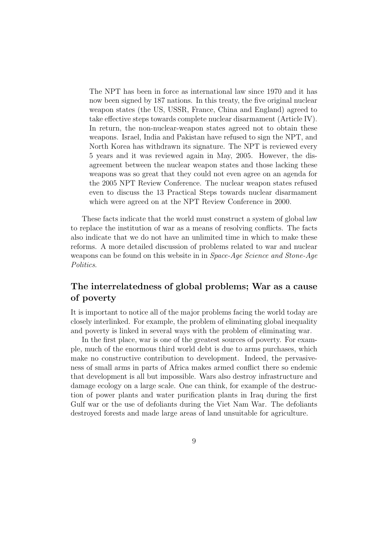The NPT has been in force as international law since 1970 and it has now been signed by 187 nations. In this treaty, the five original nuclear weapon states (the US, USSR, France, China and England) agreed to take effective steps towards complete nuclear disarmament (Article IV). In return, the non-nuclear-weapon states agreed not to obtain these weapons. Israel, India and Pakistan have refused to sign the NPT, and North Korea has withdrawn its signature. The NPT is reviewed every 5 years and it was reviewed again in May, 2005. However, the disagreement between the nuclear weapon states and those lacking these weapons was so great that they could not even agree on an agenda for the 2005 NPT Review Conference. The nuclear weapon states refused even to discuss the 13 Practical Steps towards nuclear disarmament which were agreed on at the NPT Review Conference in 2000.

These facts indicate that the world must construct a system of global law to replace the institution of war as a means of resolving conflicts. The facts also indicate that we do not have an unlimited time in which to make these reforms. A more detailed discussion of problems related to war and nuclear weapons can be found on this website in in Space-Age Science and Stone-Age Politics.

# The interrelatedness of global problems; War as a cause of poverty

It is important to notice all of the major problems facing the world today are closely interlinked. For example, the problem of eliminating global inequality and poverty is linked in several ways with the problem of eliminating war.

In the first place, war is one of the greatest sources of poverty. For example, much of the enormous third world debt is due to arms purchases, which make no constructive contribution to development. Indeed, the pervasiveness of small arms in parts of Africa makes armed conflict there so endemic that development is all but impossible. Wars also destroy infrastructure and damage ecology on a large scale. One can think, for example of the destruction of power plants and water purification plants in Iraq during the first Gulf war or the use of defoliants during the Viet Nam War. The defoliants destroyed forests and made large areas of land unsuitable for agriculture.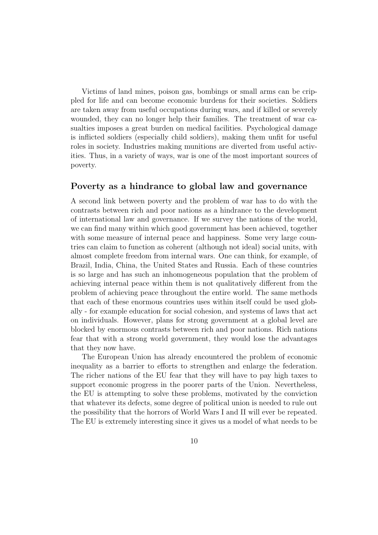Victims of land mines, poison gas, bombings or small arms can be crippled for life and can become economic burdens for their societies. Soldiers are taken away from useful occupations during wars, and if killed or severely wounded, they can no longer help their families. The treatment of war casualties imposes a great burden on medical facilities. Psychological damage is inflicted soldiers (especially child soldiers), making them unfit for useful roles in society. Industries making munitions are diverted from useful activities. Thus, in a variety of ways, war is one of the most important sources of poverty.

### Poverty as a hindrance to global law and governance

A second link between poverty and the problem of war has to do with the contrasts between rich and poor nations as a hindrance to the development of international law and governance. If we survey the nations of the world, we can find many within which good government has been achieved, together with some measure of internal peace and happiness. Some very large countries can claim to function as coherent (although not ideal) social units, with almost complete freedom from internal wars. One can think, for example, of Brazil, India, China, the United States and Russia. Each of these countries is so large and has such an inhomogeneous population that the problem of achieving internal peace within them is not qualitatively different from the problem of achieving peace throughout the entire world. The same methods that each of these enormous countries uses within itself could be used globally - for example education for social cohesion, and systems of laws that act on individuals. However, plans for strong government at a global level are blocked by enormous contrasts between rich and poor nations. Rich nations fear that with a strong world government, they would lose the advantages that they now have.

The European Union has already encountered the problem of economic inequality as a barrier to efforts to strengthen and enlarge the federation. The richer nations of the EU fear that they will have to pay high taxes to support economic progress in the poorer parts of the Union. Nevertheless, the EU is attempting to solve these problems, motivated by the conviction that whatever its defects, some degree of political union is needed to rule out the possibility that the horrors of World Wars I and II will ever be repeated. The EU is extremely interesting since it gives us a model of what needs to be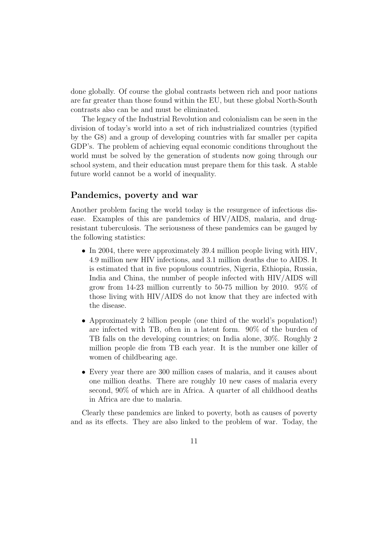done globally. Of course the global contrasts between rich and poor nations are far greater than those found within the EU, but these global North-South contrasts also can be and must be eliminated.

The legacy of the Industrial Revolution and colonialism can be seen in the division of today's world into a set of rich industrialized countries (typified by the G8) and a group of developing countries with far smaller per capita GDP's. The problem of achieving equal economic conditions throughout the world must be solved by the generation of students now going through our school system, and their education must prepare them for this task. A stable future world cannot be a world of inequality.

## Pandemics, poverty and war

Another problem facing the world today is the resurgence of infectious disease. Examples of this are pandemics of HIV/AIDS, malaria, and drugresistant tuberculosis. The seriousness of these pandemics can be gauged by the following statistics:

- In 2004, there were approximately 39.4 million people living with HIV, 4.9 million new HIV infections, and 3.1 million deaths due to AIDS. It is estimated that in five populous countries, Nigeria, Ethiopia, Russia, India and China, the number of people infected with HIV/AIDS will grow from 14-23 million currently to 50-75 million by 2010. 95% of those living with HIV/AIDS do not know that they are infected with the disease.
- Approximately 2 billion people (one third of the world's population!) are infected with TB, often in a latent form. 90% of the burden of TB falls on the developing countries; on India alone, 30%. Roughly 2 million people die from TB each year. It is the number one killer of women of childbearing age.
- Every year there are 300 million cases of malaria, and it causes about one million deaths. There are roughly 10 new cases of malaria every second, 90% of which are in Africa. A quarter of all childhood deaths in Africa are due to malaria.

Clearly these pandemics are linked to poverty, both as causes of poverty and as its effects. They are also linked to the problem of war. Today, the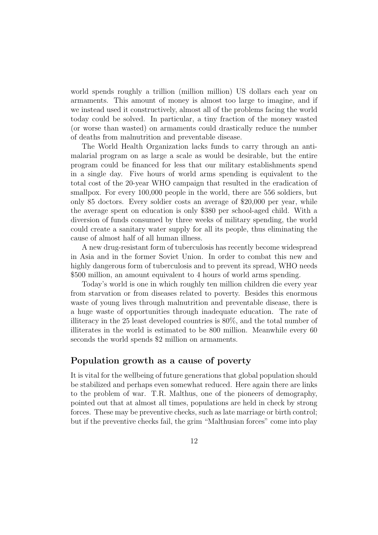world spends roughly a trillion (million million) US dollars each year on armaments. This amount of money is almost too large to imagine, and if we instead used it constructively, almost all of the problems facing the world today could be solved. In particular, a tiny fraction of the money wasted (or worse than wasted) on armaments could drastically reduce the number of deaths from malnutrition and preventable disease.

The World Health Organization lacks funds to carry through an antimalarial program on as large a scale as would be desirable, but the entire program could be financed for less that our military establishments spend in a single day. Five hours of world arms spending is equivalent to the total cost of the 20-year WHO campaign that resulted in the eradication of smallpox. For every 100,000 people in the world, there are 556 soldiers, but only 85 doctors. Every soldier costs an average of \$20,000 per year, while the average spent on education is only \$380 per school-aged child. With a diversion of funds consumed by three weeks of military spending, the world could create a sanitary water supply for all its people, thus eliminating the cause of almost half of all human illness.

A new drug-resistant form of tuberculosis has recently become widespread in Asia and in the former Soviet Union. In order to combat this new and highly dangerous form of tuberculosis and to prevent its spread, WHO needs \$500 million, an amount equivalent to 4 hours of world arms spending.

Today's world is one in which roughly ten million children die every year from starvation or from diseases related to poverty. Besides this enormous waste of young lives through malnutrition and preventable disease, there is a huge waste of opportunities through inadequate education. The rate of illiteracy in the 25 least developed countries is 80%, and the total number of illiterates in the world is estimated to be 800 million. Meanwhile every 60 seconds the world spends \$2 million on armaments.

### Population growth as a cause of poverty

It is vital for the wellbeing of future generations that global population should be stabilized and perhaps even somewhat reduced. Here again there are links to the problem of war. T.R. Malthus, one of the pioneers of demography, pointed out that at almost all times, populations are held in check by strong forces. These may be preventive checks, such as late marriage or birth control; but if the preventive checks fail, the grim "Malthusian forces" come into play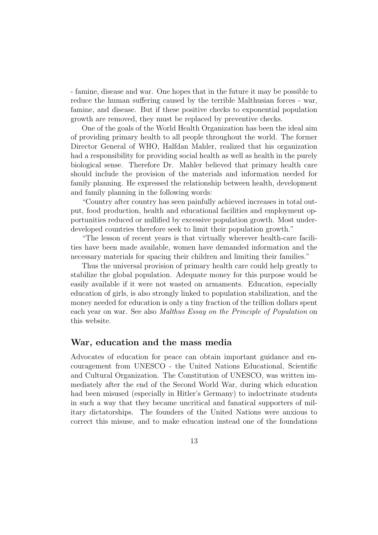- famine, disease and war. One hopes that in the future it may be possible to reduce the human suffering caused by the terrible Malthusian forces - war, famine, and disease. But if these positive checks to exponential population growth are removed, they must be replaced by preventive checks.

One of the goals of the World Health Organization has been the ideal aim of providing primary health to all people throughout the world. The former Director General of WHO, Halfdan Mahler, realized that his organization had a responsibility for providing social health as well as health in the purely biological sense. Therefore Dr. Mahler believed that primary health care should include the provision of the materials and information needed for family planning. He expressed the relationship between health, development and family planning in the following words:

"Country after country has seen painfully achieved increases in total output, food production, health and educational facilities and employment opportunities reduced or nullified by excessive population growth. Most underdeveloped countries therefore seek to limit their population growth."

"The lesson of recent years is that virtually wherever health-care facilities have been made available, women have demanded information and the necessary materials for spacing their children and limiting their families."

Thus the universal provision of primary health care could help greatly to stabilize the global population. Adequate money for this purpose would be easily available if it were not wasted on armaments. Education, especially education of girls, is also strongly linked to population stabilization, and the money needed for education is only a tiny fraction of the trillion dollars spent each year on war. See also Malthus Essay on the Principle of Population on this website.

#### War, education and the mass media

Advocates of education for peace can obtain important guidance and encouragement from UNESCO - the United Nations Educational, Scientific and Cultural Organization. The Constitution of UNESCO, was written immediately after the end of the Second World War, during which education had been misused (especially in Hitler's Germany) to indoctrinate students in such a way that they became uncritical and fanatical supporters of military dictatorships. The founders of the United Nations were anxious to correct this misuse, and to make education instead one of the foundations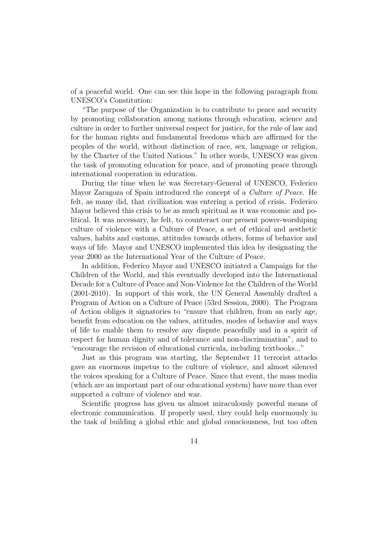of a peaceful world. One can see this hope in the following paragraph from UNESCO's Constitution:

"The purpose of the Organization is to contribute to peace and security by promoting collaboration among nations through education, science and culture in order to further universal respect for justice, for the rule of law and for the human rights and fundamental freedoms which are affirmed for the peoples of the world, without distinction of race, sex, language or religion, by the Charter of the United Nations." In other words, UNESCO was given the task of promoting education for peace, and of promoting peace through international cooperation in education.

During the time when he was Secretary-General of UNESCO, Federico Mayor Zaragoza of Spain introduced the concept of a Culture of Peace. He felt, as many did, that civilization was entering a period of crisis. Federico Mayor believed this crisis to be as much spiritual as it was economic and political. It was necessary, he felt, to counteract our present power-worshiping culture of violence with a Culture of Peace, a set of ethical and aesthetic values, habits and customs, attitudes towards others, forms of behavior and ways of life. Mayor and UNESCO implemented this idea by designating the year 2000 as the International Year of the Culture of Peace.

In addition, Federico Mayor and UNESCO initiated a Campaign for the Children of the World, and this eventually developed into the International Decade for a Culture of Peace and Non-Violence for the Children of the World (2001-2010). In support of this work, the UN General Assembly drafted a Program of Action on a Culture of Peace (53rd Session, 2000). The Program of Action obliges it signatories to "ensure that children, from an early age, benefit from education on the values, attitudes, modes of behavior and ways of life to enable them to resolve any dispute peacefully and in a spirit of respect for human dignity and of tolerance and non-discrimination", and to "encourage the revision of educational curricula, including textbooks..."

Just as this program was starting, the September 11 terrorist attacks gave an enormous impetus to the culture of violence, and almost silenced the voices speaking for a Culture of Peace. Since that event, the mass media (which are an important part of our educational system) have more than ever supported a culture of violence and war.

Scientific progress has given us almost miraculously powerful means of electronic communication. If properly used, they could help enormously in the task of building a global ethic and global consciousness, but too often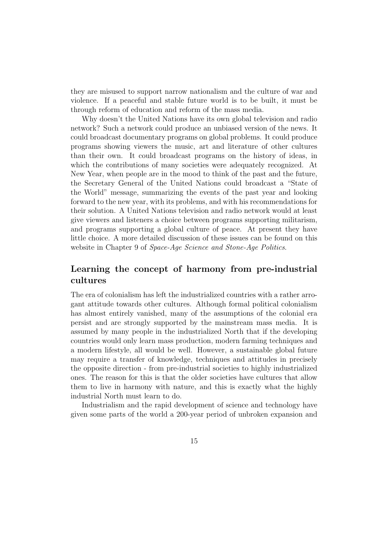they are misused to support narrow nationalism and the culture of war and violence. If a peaceful and stable future world is to be built, it must be through reform of education and reform of the mass media.

Why doesn't the United Nations have its own global television and radio network? Such a network could produce an unbiased version of the news. It could broadcast documentary programs on global problems. It could produce programs showing viewers the music, art and literature of other cultures than their own. It could broadcast programs on the history of ideas, in which the contributions of many societies were adequately recognized. At New Year, when people are in the mood to think of the past and the future, the Secretary General of the United Nations could broadcast a "State of the World" message, summarizing the events of the past year and looking forward to the new year, with its problems, and with his recommendations for their solution. A United Nations television and radio network would at least give viewers and listeners a choice between programs supporting militarism, and programs supporting a global culture of peace. At present they have little choice. A more detailed discussion of these issues can be found on this website in Chapter 9 of *Space-Age Science and Stone-Age Politics*.

# Learning the concept of harmony from pre-industrial cultures

The era of colonialism has left the industrialized countries with a rather arrogant attitude towards other cultures. Although formal political colonialism has almost entirely vanished, many of the assumptions of the colonial era persist and are strongly supported by the mainstream mass media. It is assumed by many people in the industrialized North that if the developing countries would only learn mass production, modern farming techniques and a modern lifestyle, all would be well. However, a sustainable global future may require a transfer of knowledge, techniques and attitudes in precisely the opposite direction - from pre-industrial societies to highly industrialized ones. The reason for this is that the older societies have cultures that allow them to live in harmony with nature, and this is exactly what the highly industrial North must learn to do.

Industrialism and the rapid development of science and technology have given some parts of the world a 200-year period of unbroken expansion and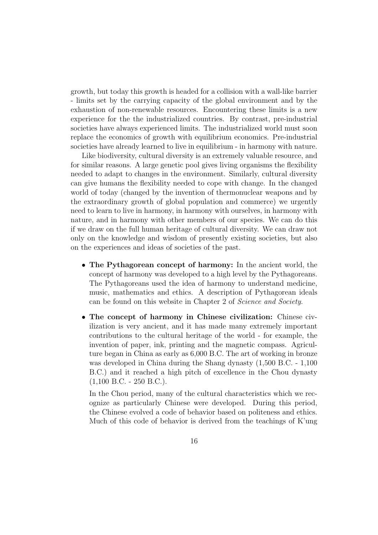growth, but today this growth is headed for a collision with a wall-like barrier - limits set by the carrying capacity of the global environment and by the exhaustion of non-renewable resources. Encountering these limits is a new experience for the the industrialized countries. By contrast, pre-industrial societies have always experienced limits. The industrialized world must soon replace the economics of growth with equilibrium economics. Pre-industrial societies have already learned to live in equilibrium - in harmony with nature.

Like biodiversity, cultural diversity is an extremely valuable resource, and for similar reasons. A large genetic pool gives living organisms the flexibility needed to adapt to changes in the environment. Similarly, cultural diversity can give humans the flexibility needed to cope with change. In the changed world of today (changed by the invention of thermonuclear weapons and by the extraordinary growth of global population and commerce) we urgently need to learn to live in harmony, in harmony with ourselves, in harmony with nature, and in harmony with other members of our species. We can do this if we draw on the full human heritage of cultural diversity. We can draw not only on the knowledge and wisdom of presently existing societies, but also on the experiences and ideas of societies of the past.

- The Pythagorean concept of harmony: In the ancient world, the concept of harmony was developed to a high level by the Pythagoreans. The Pythagoreans used the idea of harmony to understand medicine, music, mathematics and ethics. A description of Pythagorean ideals can be found on this website in Chapter 2 of Science and Society.
- The concept of harmony in Chinese civilization: Chinese civilization is very ancient, and it has made many extremely important contributions to the cultural heritage of the world - for example, the invention of paper, ink, printing and the magnetic compass. Agriculture began in China as early as 6,000 B.C. The art of working in bronze was developed in China during the Shang dynasty (1,500 B.C. - 1,100 B.C.) and it reached a high pitch of excellence in the Chou dynasty  $(1,100 \text{ B.C.} - 250 \text{ B.C.}).$

In the Chou period, many of the cultural characteristics which we recognize as particularly Chinese were developed. During this period, the Chinese evolved a code of behavior based on politeness and ethics. Much of this code of behavior is derived from the teachings of K'ung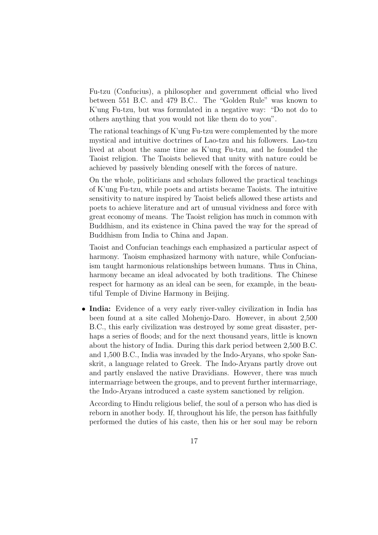Fu-tzu (Confucius), a philosopher and government official who lived between 551 B.C. and 479 B.C.. The "Golden Rule" was known to K'ung Fu-tzu, but was formulated in a negative way: "Do not do to others anything that you would not like them do to you".

The rational teachings of K'ung Fu-tzu were complemented by the more mystical and intuitive doctrines of Lao-tzu and his followers. Lao-tzu lived at about the same time as K'ung Fu-tzu, and he founded the Taoist religion. The Taoists believed that unity with nature could be achieved by passively blending oneself with the forces of nature.

On the whole, politicians and scholars followed the practical teachings of K'ung Fu-tzu, while poets and artists became Taoists. The intuitive sensitivity to nature inspired by Taoist beliefs allowed these artists and poets to achieve literature and art of unusual vividness and force with great economy of means. The Taoist religion has much in common with Buddhism, and its existence in China paved the way for the spread of Buddhism from India to China and Japan.

Taoist and Confucian teachings each emphasized a particular aspect of harmony. Taoism emphasized harmony with nature, while Confucianism taught harmonious relationships between humans. Thus in China, harmony became an ideal advocated by both traditions. The Chinese respect for harmony as an ideal can be seen, for example, in the beautiful Temple of Divine Harmony in Beijing.

• India: Evidence of a very early river-valley civilization in India has been found at a site called Mohenjo-Daro. However, in about 2,500 B.C., this early civilization was destroyed by some great disaster, perhaps a series of floods; and for the next thousand years, little is known about the history of India. During this dark period between 2,500 B.C. and 1,500 B.C., India was invaded by the Indo-Aryans, who spoke Sanskrit, a language related to Greek. The Indo-Aryans partly drove out and partly enslaved the native Dravidians. However, there was much intermarriage between the groups, and to prevent further intermarriage, the Indo-Aryans introduced a caste system sanctioned by religion.

According to Hindu religious belief, the soul of a person who has died is reborn in another body. If, throughout his life, the person has faithfully performed the duties of his caste, then his or her soul may be reborn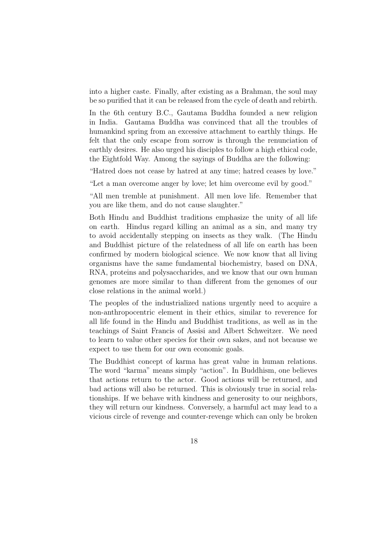into a higher caste. Finally, after existing as a Brahman, the soul may be so purified that it can be released from the cycle of death and rebirth.

In the 6th century B.C., Gautama Buddha founded a new religion in India. Gautama Buddha was convinced that all the troubles of humankind spring from an excessive attachment to earthly things. He felt that the only escape from sorrow is through the renunciation of earthly desires. He also urged his disciples to follow a high ethical code, the Eightfold Way. Among the sayings of Buddha are the following:

"Hatred does not cease by hatred at any time; hatred ceases by love."

"Let a man overcome anger by love; let him overcome evil by good."

"All men tremble at punishment. All men love life. Remember that you are like them, and do not cause slaughter."

Both Hindu and Buddhist traditions emphasize the unity of all life on earth. Hindus regard killing an animal as a sin, and many try to avoid accidentally stepping on insects as they walk. (The Hindu and Buddhist picture of the relatedness of all life on earth has been confirmed by modern biological science. We now know that all living organisms have the same fundamental biochemistry, based on DNA, RNA, proteins and polysaccharides, and we know that our own human genomes are more similar to than different from the genomes of our close relations in the animal world.)

The peoples of the industrialized nations urgently need to acquire a non-anthropocentric element in their ethics, similar to reverence for all life found in the Hindu and Buddhist traditions, as well as in the teachings of Saint Francis of Assisi and Albert Schweitzer. We need to learn to value other species for their own sakes, and not because we expect to use them for our own economic goals.

The Buddhist concept of karma has great value in human relations. The word "karma" means simply "action". In Buddhism, one believes that actions return to the actor. Good actions will be returned, and bad actions will also be returned. This is obviously true in social relationships. If we behave with kindness and generosity to our neighbors, they will return our kindness. Conversely, a harmful act may lead to a vicious circle of revenge and counter-revenge which can only be broken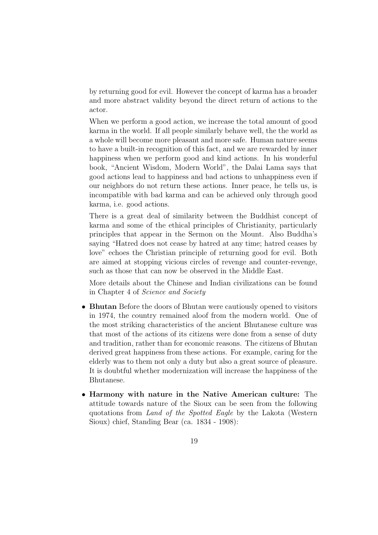by returning good for evil. However the concept of karma has a broader and more abstract validity beyond the direct return of actions to the actor.

When we perform a good action, we increase the total amount of good karma in the world. If all people similarly behave well, the the world as a whole will become more pleasant and more safe. Human nature seems to have a built-in recognition of this fact, and we are rewarded by inner happiness when we perform good and kind actions. In his wonderful book, "Ancient Wisdom, Modern World", the Dalai Lama says that good actions lead to happiness and bad actions to unhappiness even if our neighbors do not return these actions. Inner peace, he tells us, is incompatible with bad karma and can be achieved only through good karma, i.e. good actions.

There is a great deal of similarity between the Buddhist concept of karma and some of the ethical principles of Christianity, particularly principles that appear in the Sermon on the Mount. Also Buddha's saying "Hatred does not cease by hatred at any time; hatred ceases by love" echoes the Christian principle of returning good for evil. Both are aimed at stopping vicious circles of revenge and counter-revenge, such as those that can now be observed in the Middle East.

More details about the Chinese and Indian civilizations can be found in Chapter 4 of Science and Society

- Bhutan Before the doors of Bhutan were cautiously opened to visitors in 1974, the country remained aloof from the modern world. One of the most striking characteristics of the ancient Bhutanese culture was that most of the actions of its citizens were done from a sense of duty and tradition, rather than for economic reasons. The citizens of Bhutan derived great happiness from these actions. For example, caring for the elderly was to them not only a duty but also a great source of pleasure. It is doubtful whether modernization will increase the happiness of the Bhutanese.
- Harmony with nature in the Native American culture: The attitude towards nature of the Sioux can be seen from the following quotations from Land of the Spotted Eagle by the Lakota (Western Sioux) chief, Standing Bear (ca. 1834 - 1908):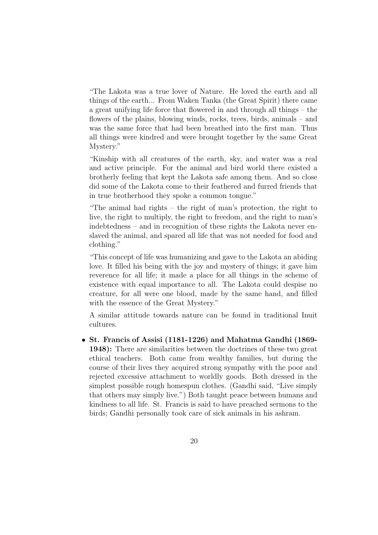"The Lakota was a true lover of Nature. He loved the earth and all things of the earth... From Waken Tanka (the Great Spirit) there came a great unifying life force that flowered in and through all things – the flowers of the plains, blowing winds, rocks, trees, birds, animals – and was the same force that had been breathed into the first man. Thus all things were kindred and were brought together by the same Great Mystery."

"Kinship with all creatures of the earth, sky, and water was a real and active principle. For the animal and bird world there existed a brotherly feeling that kept the Lakota safe among them. And so close did some of the Lakota come to their feathered and furred friends that in true brotherhood they spoke a common tongue."

"The animal had rights – the right of man's protection, the right to live, the right to multiply, the right to freedom, and the right to man's indebtedness – and in recognition of these rights the Lakota never enslaved the animal, and spared all life that was not needed for food and clothing."

"This concept of life was humanizing and gave to the Lakota an abiding love. It filled his being with the joy and mystery of things; it gave him reverence for all life; it made a place for all things in the scheme of existence with equal importance to all. The Lakota could despise no creature, for all were one blood, made by the same hand, and filled with the essence of the Great Mystery."

A similar attitude towards nature can be found in traditional Inuit cultures.

• St. Francis of Assisi (1181-1226) and Mahatma Gandhi (1869- 1948): There are similarities between the doctrines of these two great ethical teachers. Both came from wealthy families, but during the course of their lives they acquired strong sympathy with the poor and rejected excessive attachment to worldly goods. Both dressed in the simplest possible rough homespun clothes. (Gandhi said, "Live simply that others may simply live.") Both taught peace between humans and kindness to all life. St. Francis is said to have preached sermons to the birds; Gandhi personally took care of sick animals in his ashram.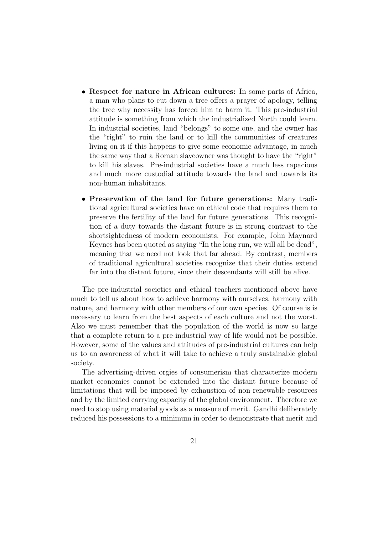- Respect for nature in African cultures: In some parts of Africa, a man who plans to cut down a tree offers a prayer of apology, telling the tree why necessity has forced him to harm it. This pre-industrial attitude is something from which the industrialized North could learn. In industrial societies, land "belongs" to some one, and the owner has the "right" to ruin the land or to kill the communities of creatures living on it if this happens to give some economic advantage, in much the same way that a Roman slaveowner was thought to have the "right" to kill his slaves. Pre-industrial societies have a much less rapacious and much more custodial attitude towards the land and towards its non-human inhabitants.
- Preservation of the land for future generations: Many traditional agricultural societies have an ethical code that requires them to preserve the fertility of the land for future generations. This recognition of a duty towards the distant future is in strong contrast to the shortsightedness of modern economists. For example, John Maynard Keynes has been quoted as saying "In the long run, we will all be dead", meaning that we need not look that far ahead. By contrast, members of traditional agricultural societies recognize that their duties extend far into the distant future, since their descendants will still be alive.

The pre-industrial societies and ethical teachers mentioned above have much to tell us about how to achieve harmony with ourselves, harmony with nature, and harmony with other members of our own species. Of course is is necessary to learn from the best aspects of each culture and not the worst. Also we must remember that the population of the world is now so large that a complete return to a pre-industrial way of life would not be possible. However, some of the values and attitudes of pre-industrial cultures can help us to an awareness of what it will take to achieve a truly sustainable global society.

The advertising-driven orgies of consumerism that characterize modern market economies cannot be extended into the distant future because of limitations that will be imposed by exhaustion of non-renewable resources and by the limited carrying capacity of the global environment. Therefore we need to stop using material goods as a measure of merit. Gandhi deliberately reduced his possessions to a minimum in order to demonstrate that merit and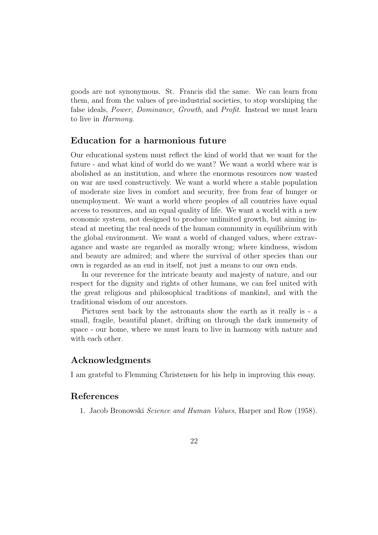goods are not synonymous. St. Francis did the same. We can learn from them, and from the values of pre-industrial societies, to stop worshiping the false ideals, Power, Dominance, Growth, and Profit. Instead we must learn to live in Harmony.

## Education for a harmonious future

Our educational system must reflect the kind of world that we want for the future - and what kind of world do we want? We want a world where war is abolished as an institution, and where the enormous resources now wasted on war are used constructively. We want a world where a stable population of moderate size lives in comfort and security, free from fear of hunger or unemployment. We want a world where peoples of all countries have equal access to resources, and an equal quality of life. We want a world with a new economic system, not designed to produce unlimited growth, but aiming instead at meeting the real needs of the human community in equilibrium with the global environment. We want a world of changed values, where extravagance and waste are regarded as morally wrong; where kindness, wisdom and beauty are admired; and where the survival of other species than our own is regarded as an end in itself, not just a means to our own ends.

In our reverence for the intricate beauty and majesty of nature, and our respect for the dignity and rights of other humans, we can feel united with the great religious and philosophical traditions of mankind, and with the traditional wisdom of our ancestors.

Pictures sent back by the astronauts show the earth as it really is - a small, fragile, beautiful planet, drifting on through the dark immensity of space - our home, where we must learn to live in harmony with nature and with each other.

### Acknowledgments

I am grateful to Flemming Christensen for his help in improving this essay.

### References

1. Jacob Bronowski Science and Human Values, Harper and Row (1958).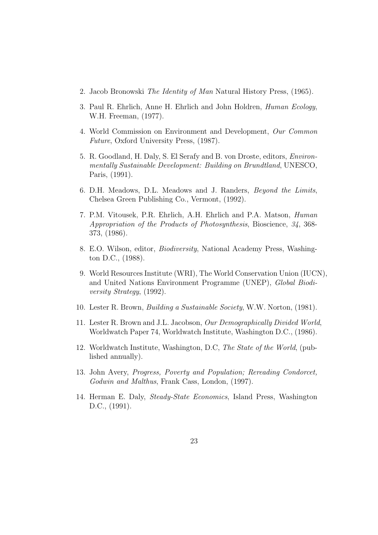- 2. Jacob Bronowski The Identity of Man Natural History Press, (1965).
- 3. Paul R. Ehrlich, Anne H. Ehrlich and John Holdren, Human Ecology, W.H. Freeman, (1977).
- 4. World Commission on Environment and Development, Our Common Future, Oxford University Press, (1987).
- 5. R. Goodland, H. Daly, S. El Serafy and B. von Droste, editors, Environmentally Sustainable Development: Building on Brundtland, UNESCO, Paris, (1991).
- 6. D.H. Meadows, D.L. Meadows and J. Randers, Beyond the Limits, Chelsea Green Publishing Co., Vermont, (1992).
- 7. P.M. Vitousek, P.R. Ehrlich, A.H. Ehrlich and P.A. Matson, Human Appropriation of the Products of Photosynthesis, Bioscience, 34, 368- 373, (1986).
- 8. E.O. Wilson, editor, Biodiversity, National Academy Press, Washington D.C., (1988).
- 9. World Resources Institute (WRI), The World Conservation Union (IUCN), and United Nations Environment Programme (UNEP), Global Biodiversity Strategy, (1992).
- 10. Lester R. Brown, Building a Sustainable Society, W.W. Norton, (1981).
- 11. Lester R. Brown and J.L. Jacobson, Our Demographically Divided World, Worldwatch Paper 74, Worldwatch Institute, Washington D.C., (1986).
- 12. Worldwatch Institute, Washington, D.C, The State of the World, (published annually).
- 13. John Avery, Progress, Poverty and Population; Rereading Condorcet, Godwin and Malthus, Frank Cass, London, (1997).
- 14. Herman E. Daly, Steady-State Economics, Island Press, Washington D.C., (1991).